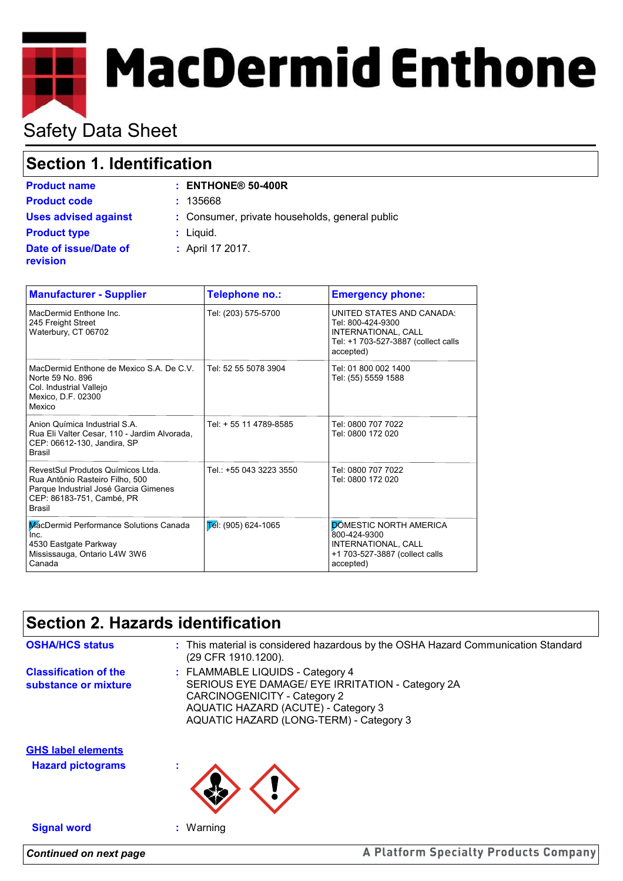# **MacDermid Enthone**

# Safety Data Sheet

## **Section 1. Identification**

| <b>Product name</b>                      | $:$ ENTHONE <sup>®</sup> 50-400R               |
|------------------------------------------|------------------------------------------------|
| <b>Product code</b>                      | : 135668                                       |
| <b>Uses advised against</b>              | : Consumer, private households, general public |
| <b>Product type</b>                      | $:$ Liquid.                                    |
| Date of issue/Date of<br><b>revision</b> | : April 17 2017.                               |

| <b>Manufacturer - Supplier</b>                                                                                                                              | Telephone no.:                  | <b>Emergency phone:</b>                                                                                                   |
|-------------------------------------------------------------------------------------------------------------------------------------------------------------|---------------------------------|---------------------------------------------------------------------------------------------------------------------------|
| MacDermid Enthone Inc.<br>245 Freight Street<br>Waterbury, CT 06702                                                                                         | Tel: (203) 575-5700             | UNITED STATES AND CANADA:<br>Tel: 800-424-9300<br>INTERNATIONAL, CALL<br>Tel: +1 703-527-3887 (collect calls<br>accepted) |
| MacDermid Enthone de Mexico S.A. De C.V.<br>Norte 59 No. 896<br>Col. Industrial Vallejo<br>Mexico, D.F. 02300<br>Mexico                                     | Tel: 52 55 5078 3904            | Tel: 01 800 002 1400<br>Tel: (55) 5559 1588                                                                               |
| Anion Química Industrial S.A.<br>Rua Eli Valter Cesar, 110 - Jardim Alvorada,<br>CEP: 06612-130, Jandira, SP<br><b>Brasil</b>                               | Tel: + 55 11 4789-8585          | Tel: 0800 707 7022<br>Tel: 0800 172 020                                                                                   |
| RevestSul Produtos Químicos Ltda.<br>Rua Antônio Rasteiro Filho, 500<br>Parque Industrial José Garcia Gimenes<br>CEP: 86183-751, Cambé, PR<br><b>Brasil</b> | Tel.: +55 043 3223 3550         | Tel: 0800 707 7022<br>Tel: 0800 172 020                                                                                   |
| MacDermid Performance Solutions Canada<br>Inc.<br>4530 Eastgate Parkway<br>Mississauga, Ontario L4W 3W6<br>Canada                                           | $\mathsf{E}$ él: (905) 624-1065 | <b>DÓMESTIC NORTH AMERICA</b><br>800-424-9300<br>INTERNATIONAL, CALL<br>+1 703-527-3887 (collect calls<br>accepted)       |

## **Section 2. Hazards identification**

*Continued on next page*

| <b>OSHA/HCS status</b>                                | : This material is considered hazardous by the OSHA Hazard Communication Standard<br>(29 CFR 1910.1200).                                                                                               |
|-------------------------------------------------------|--------------------------------------------------------------------------------------------------------------------------------------------------------------------------------------------------------|
| <b>Classification of the</b><br>substance or mixture  | : FLAMMABLE LIQUIDS - Category 4<br>SERIOUS EYE DAMAGE/ EYE IRRITATION - Category 2A<br>CARCINOGENICITY - Category 2<br>AQUATIC HAZARD (ACUTE) - Category 3<br>AQUATIC HAZARD (LONG-TERM) - Category 3 |
| <b>GHS label elements</b><br><b>Hazard pictograms</b> |                                                                                                                                                                                                        |
| <b>Signal word</b>                                    | $:$ Warning                                                                                                                                                                                            |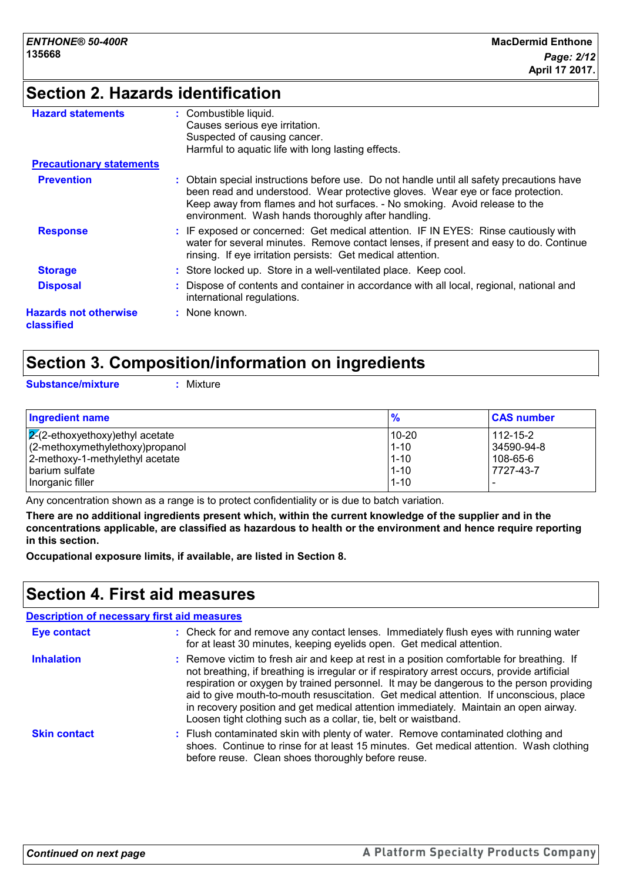## **Section 2. Hazards identification**

| <b>Hazard statements</b>                   | : Combustible liquid.                                                                                                                                                                                                                                                                                         |
|--------------------------------------------|---------------------------------------------------------------------------------------------------------------------------------------------------------------------------------------------------------------------------------------------------------------------------------------------------------------|
|                                            | Causes serious eye irritation.                                                                                                                                                                                                                                                                                |
|                                            | Suspected of causing cancer.                                                                                                                                                                                                                                                                                  |
|                                            | Harmful to aquatic life with long lasting effects.                                                                                                                                                                                                                                                            |
| <b>Precautionary statements</b>            |                                                                                                                                                                                                                                                                                                               |
| <b>Prevention</b>                          | Obtain special instructions before use. Do not handle until all safety precautions have<br>been read and understood. Wear protective gloves. Wear eye or face protection.<br>Keep away from flames and hot surfaces. - No smoking. Avoid release to the<br>environment. Wash hands thoroughly after handling. |
| <b>Response</b>                            | : IF exposed or concerned: Get medical attention. IF IN EYES: Rinse cautiously with<br>water for several minutes. Remove contact lenses, if present and easy to do. Continue<br>rinsing. If eye irritation persists: Get medical attention.                                                                   |
| <b>Storage</b>                             | : Store locked up. Store in a well-ventilated place. Keep cool.                                                                                                                                                                                                                                               |
| <b>Disposal</b>                            | Dispose of contents and container in accordance with all local, regional, national and<br>international regulations.                                                                                                                                                                                          |
| <b>Hazards not otherwise</b><br>classified | : None known.                                                                                                                                                                                                                                                                                                 |

## **Section 3. Composition/information on ingredients**

**Substance/mixture :** Mixture

| <b>Ingredient name</b>                  | $\frac{9}{6}$ | <b>CAS number</b> |
|-----------------------------------------|---------------|-------------------|
| $\sqrt{2}$ -ethoxyethoxy) ethyl acetate | 10-20         | $112 - 15 - 2$    |
| (2-methoxymethylethoxy)propanol         | $1 - 10$      | 34590-94-8        |
| 2-methoxy-1-methylethyl acetate         | $1 - 10$      | 108-65-6          |
| l barium sulfate                        | $1 - 10$      | 7727-43-7         |
| Inorganic filler                        | $1 - 10$      |                   |

Any concentration shown as a range is to protect confidentiality or is due to batch variation.

**There are no additional ingredients present which, within the current knowledge of the supplier and in the concentrations applicable, are classified as hazardous to health or the environment and hence require reporting in this section.**

**Occupational exposure limits, if available, are listed in Section 8.**

## **Section 4. First aid measures**

|                     | <b>Description of necessary first aid measures</b>                                                                                                                                                                                                                                                                                                                                                                                                                                                                                        |
|---------------------|-------------------------------------------------------------------------------------------------------------------------------------------------------------------------------------------------------------------------------------------------------------------------------------------------------------------------------------------------------------------------------------------------------------------------------------------------------------------------------------------------------------------------------------------|
| <b>Eye contact</b>  | : Check for and remove any contact lenses. Immediately flush eyes with running water<br>for at least 30 minutes, keeping eyelids open. Get medical attention.                                                                                                                                                                                                                                                                                                                                                                             |
| <b>Inhalation</b>   | : Remove victim to fresh air and keep at rest in a position comfortable for breathing. If<br>not breathing, if breathing is irregular or if respiratory arrest occurs, provide artificial<br>respiration or oxygen by trained personnel. It may be dangerous to the person providing<br>aid to give mouth-to-mouth resuscitation. Get medical attention. If unconscious, place<br>in recovery position and get medical attention immediately. Maintain an open airway.<br>Loosen tight clothing such as a collar, tie, belt or waistband. |
| <b>Skin contact</b> | : Flush contaminated skin with plenty of water. Remove contaminated clothing and<br>shoes. Continue to rinse for at least 15 minutes. Get medical attention. Wash clothing<br>before reuse. Clean shoes thoroughly before reuse.                                                                                                                                                                                                                                                                                                          |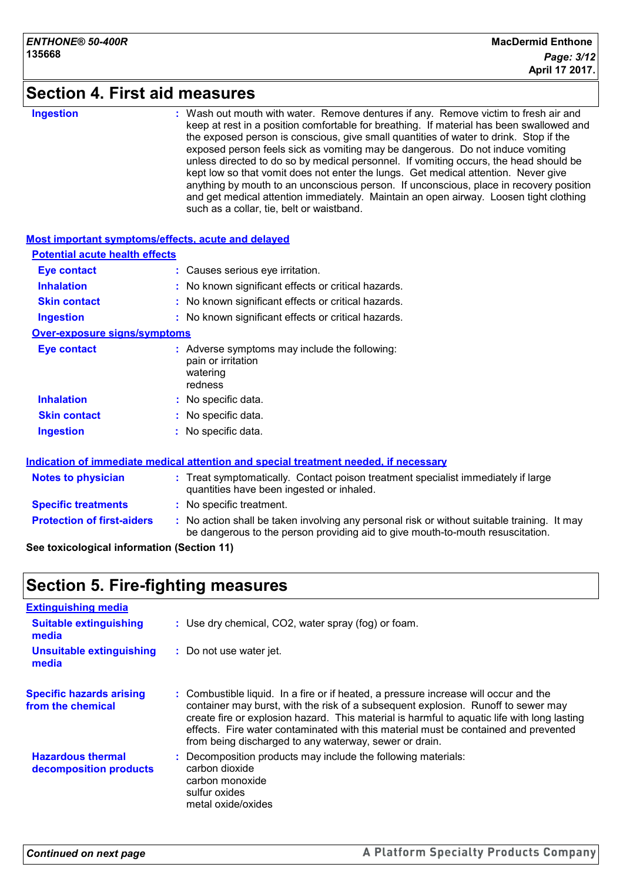## **Section 4. First aid measures**

#### **Ingestion :**

Wash out mouth with water. Remove dentures if any. Remove victim to fresh air and keep at rest in a position comfortable for breathing. If material has been swallowed and the exposed person is conscious, give small quantities of water to drink. Stop if the exposed person feels sick as vomiting may be dangerous. Do not induce vomiting unless directed to do so by medical personnel. If vomiting occurs, the head should be kept low so that vomit does not enter the lungs. Get medical attention. Never give anything by mouth to an unconscious person. If unconscious, place in recovery position and get medical attention immediately. Maintain an open airway. Loosen tight clothing such as a collar, tie, belt or waistband.

#### **Most important symptoms/effects, acute and delayed Inhalation :** No known significant effects or critical hazards. **Ingestion :** No known significant effects or critical hazards. **Skin contact :** No known significant effects or critical hazards. **Eye contact :** Causes serious eye irritation. **Over-exposure signs/symptoms Skin contact Ingestion Inhalation :** No specific data. No specific data. **:** No specific data. **: Eye contact :** Adverse symptoms may include the following: pain or irritation watering redness **Potential acute health effects**

#### **Indication of immediate medical attention and special treatment needed, if necessary**

| <b>Notes to physician</b>         | : Treat symptomatically. Contact poison treatment specialist immediately if large<br>quantities have been ingested or inhaled.                                                |  |
|-----------------------------------|-------------------------------------------------------------------------------------------------------------------------------------------------------------------------------|--|
| <b>Specific treatments</b>        | : No specific treatment.                                                                                                                                                      |  |
| <b>Protection of first-aiders</b> | : No action shall be taken involving any personal risk or without suitable training. It may<br>be dangerous to the person providing aid to give mouth-to-mouth resuscitation. |  |

#### **See toxicological information (Section 11)**

## **Section 5. Fire-fighting measures**

| <b>Extinguishing media</b>                           |                                                                                                                                                                                                                                                                                                                                                                                                                           |
|------------------------------------------------------|---------------------------------------------------------------------------------------------------------------------------------------------------------------------------------------------------------------------------------------------------------------------------------------------------------------------------------------------------------------------------------------------------------------------------|
| <b>Suitable extinguishing</b><br>media               | : Use dry chemical, CO2, water spray (fog) or foam.                                                                                                                                                                                                                                                                                                                                                                       |
| <b>Unsuitable extinguishing</b><br>media             | : Do not use water jet.                                                                                                                                                                                                                                                                                                                                                                                                   |
| <b>Specific hazards arising</b><br>from the chemical | : Combustible liquid. In a fire or if heated, a pressure increase will occur and the<br>container may burst, with the risk of a subsequent explosion. Runoff to sewer may<br>create fire or explosion hazard. This material is harmful to aquatic life with long lasting<br>effects. Fire water contaminated with this material must be contained and prevented<br>from being discharged to any waterway, sewer or drain. |
| <b>Hazardous thermal</b><br>decomposition products   | : Decomposition products may include the following materials:<br>carbon dioxide<br>carbon monoxide<br>sulfur oxides<br>metal oxide/oxides                                                                                                                                                                                                                                                                                 |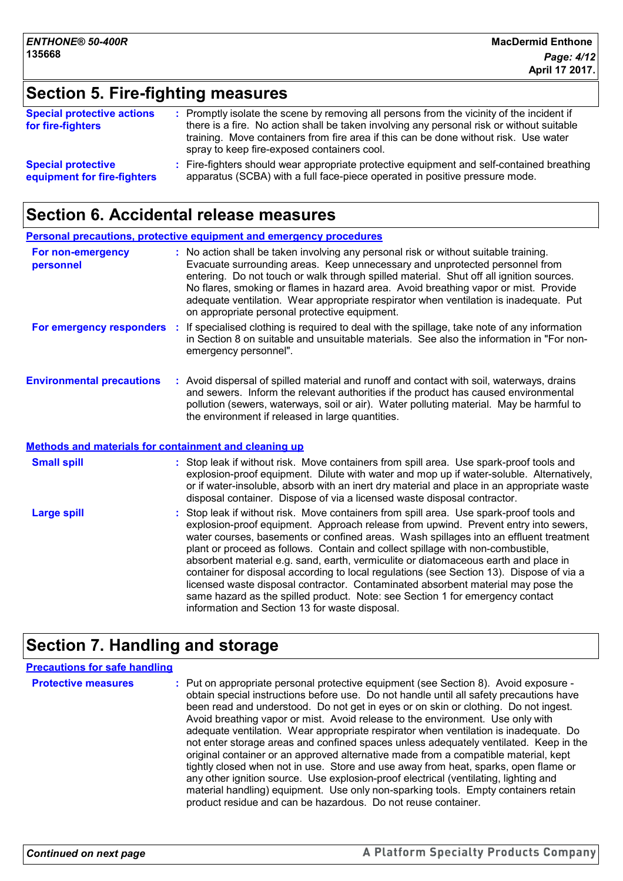## **Section 5. Fire-fighting measures**

| <b>Special protective actions</b><br>for fire-fighters | : Promptly isolate the scene by removing all persons from the vicinity of the incident if<br>there is a fire. No action shall be taken involving any personal risk or without suitable<br>training. Move containers from fire area if this can be done without risk. Use water<br>spray to keep fire-exposed containers cool. |
|--------------------------------------------------------|-------------------------------------------------------------------------------------------------------------------------------------------------------------------------------------------------------------------------------------------------------------------------------------------------------------------------------|
| <b>Special protective</b>                              | : Fire-fighters should wear appropriate protective equipment and self-contained breathing                                                                                                                                                                                                                                     |
| equipment for fire-fighters                            | apparatus (SCBA) with a full face-piece operated in positive pressure mode.                                                                                                                                                                                                                                                   |

## **Section 6. Accidental release measures**

|                                                              |    | Personal precautions, protective equipment and emergency procedures                                                                                                                                                                                                                                                                                                                                                                                                                                                                                                                                                                                                                                              |
|--------------------------------------------------------------|----|------------------------------------------------------------------------------------------------------------------------------------------------------------------------------------------------------------------------------------------------------------------------------------------------------------------------------------------------------------------------------------------------------------------------------------------------------------------------------------------------------------------------------------------------------------------------------------------------------------------------------------------------------------------------------------------------------------------|
| For non-emergency<br>personnel                               |    | : No action shall be taken involving any personal risk or without suitable training.<br>Evacuate surrounding areas. Keep unnecessary and unprotected personnel from<br>entering. Do not touch or walk through spilled material. Shut off all ignition sources.<br>No flares, smoking or flames in hazard area. Avoid breathing vapor or mist. Provide<br>adequate ventilation. Wear appropriate respirator when ventilation is inadequate. Put<br>on appropriate personal protective equipment.                                                                                                                                                                                                                  |
| For emergency responders                                     | ÷. | If specialised clothing is required to deal with the spillage, take note of any information<br>in Section 8 on suitable and unsuitable materials. See also the information in "For non-<br>emergency personnel".                                                                                                                                                                                                                                                                                                                                                                                                                                                                                                 |
| <b>Environmental precautions</b>                             |    | : Avoid dispersal of spilled material and runoff and contact with soil, waterways, drains<br>and sewers. Inform the relevant authorities if the product has caused environmental<br>pollution (sewers, waterways, soil or air). Water polluting material. May be harmful to<br>the environment if released in large quantities.                                                                                                                                                                                                                                                                                                                                                                                  |
| <b>Methods and materials for containment and cleaning up</b> |    |                                                                                                                                                                                                                                                                                                                                                                                                                                                                                                                                                                                                                                                                                                                  |
| <b>Small spill</b>                                           |    | : Stop leak if without risk. Move containers from spill area. Use spark-proof tools and<br>explosion-proof equipment. Dilute with water and mop up if water-soluble. Alternatively,<br>or if water-insoluble, absorb with an inert dry material and place in an appropriate waste<br>disposal container. Dispose of via a licensed waste disposal contractor.                                                                                                                                                                                                                                                                                                                                                    |
| <b>Large spill</b>                                           |    | Stop leak if without risk. Move containers from spill area. Use spark-proof tools and<br>explosion-proof equipment. Approach release from upwind. Prevent entry into sewers,<br>water courses, basements or confined areas. Wash spillages into an effluent treatment<br>plant or proceed as follows. Contain and collect spillage with non-combustible,<br>absorbent material e.g. sand, earth, vermiculite or diatomaceous earth and place in<br>container for disposal according to local regulations (see Section 13). Dispose of via a<br>licensed waste disposal contractor. Contaminated absorbent material may pose the<br>same hazard as the spilled product. Note: see Section 1 for emergency contact |

## **Section 7. Handling and storage**

#### **Precautions for safe handling**

**Protective measures** : Put on appropriate personal protective equipment (see Section 8). Avoid exposure obtain special instructions before use. Do not handle until all safety precautions have been read and understood. Do not get in eyes or on skin or clothing. Do not ingest. Avoid breathing vapor or mist. Avoid release to the environment. Use only with adequate ventilation. Wear appropriate respirator when ventilation is inadequate. Do not enter storage areas and confined spaces unless adequately ventilated. Keep in the original container or an approved alternative made from a compatible material, kept tightly closed when not in use. Store and use away from heat, sparks, open flame or any other ignition source. Use explosion-proof electrical (ventilating, lighting and material handling) equipment. Use only non-sparking tools. Empty containers retain product residue and can be hazardous. Do not reuse container.

information and Section 13 for waste disposal.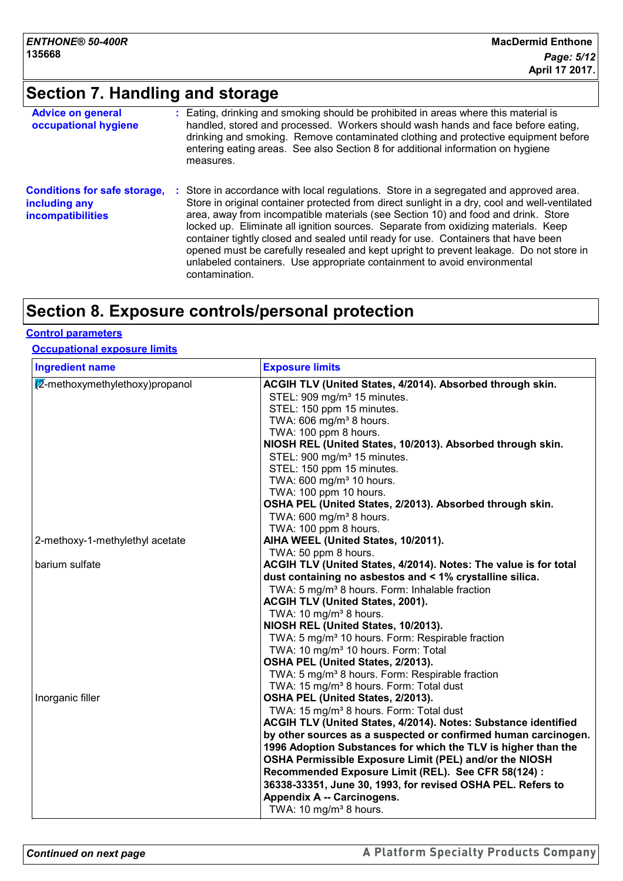## **Section 7. Handling and storage**

| <b>Advice on general</b><br>occupational hygiene                                 | : Eating, drinking and smoking should be prohibited in areas where this material is<br>handled, stored and processed. Workers should wash hands and face before eating,<br>drinking and smoking. Remove contaminated clothing and protective equipment before<br>entering eating areas. See also Section 8 for additional information on hygiene<br>measures.                                                                                                                                                                                                                                                                                    |
|----------------------------------------------------------------------------------|--------------------------------------------------------------------------------------------------------------------------------------------------------------------------------------------------------------------------------------------------------------------------------------------------------------------------------------------------------------------------------------------------------------------------------------------------------------------------------------------------------------------------------------------------------------------------------------------------------------------------------------------------|
| <b>Conditions for safe storage,</b><br>including any<br><b>incompatibilities</b> | : Store in accordance with local regulations. Store in a segregated and approved area.<br>Store in original container protected from direct sunlight in a dry, cool and well-ventilated<br>area, away from incompatible materials (see Section 10) and food and drink. Store<br>locked up. Eliminate all ignition sources. Separate from oxidizing materials. Keep<br>container tightly closed and sealed until ready for use. Containers that have been<br>opened must be carefully resealed and kept upright to prevent leakage. Do not store in<br>unlabeled containers. Use appropriate containment to avoid environmental<br>contamination. |

## **Section 8. Exposure controls/personal protection**

#### **Control parameters**

#### **Occupational exposure limits**

| <b>Ingredient name</b>                    | <b>Exposure limits</b>                                                                                                                                                                                                                                                                                                                                                                                                                                                                                                                                                                                                   |
|-------------------------------------------|--------------------------------------------------------------------------------------------------------------------------------------------------------------------------------------------------------------------------------------------------------------------------------------------------------------------------------------------------------------------------------------------------------------------------------------------------------------------------------------------------------------------------------------------------------------------------------------------------------------------------|
| $\sqrt{2}$ -methoxymethylethoxy) propanol | ACGIH TLV (United States, 4/2014). Absorbed through skin.<br>STEL: 909 mg/m <sup>3</sup> 15 minutes.<br>STEL: 150 ppm 15 minutes.<br>TWA: 606 mg/m <sup>3</sup> 8 hours.<br>TWA: 100 ppm 8 hours.<br>NIOSH REL (United States, 10/2013). Absorbed through skin.<br>STEL: 900 mg/m <sup>3</sup> 15 minutes.<br>STEL: 150 ppm 15 minutes.<br>TWA: 600 mg/m <sup>3</sup> 10 hours.<br>TWA: 100 ppm 10 hours.<br>OSHA PEL (United States, 2/2013). Absorbed through skin.<br>TWA: 600 mg/m <sup>3</sup> 8 hours.                                                                                                             |
| 2-methoxy-1-methylethyl acetate           | TWA: 100 ppm 8 hours.<br>AIHA WEEL (United States, 10/2011).                                                                                                                                                                                                                                                                                                                                                                                                                                                                                                                                                             |
| barium sulfate                            | TWA: 50 ppm 8 hours.<br>ACGIH TLV (United States, 4/2014). Notes: The value is for total<br>dust containing no asbestos and < 1% crystalline silica.<br>TWA: 5 mg/m <sup>3</sup> 8 hours. Form: Inhalable fraction<br><b>ACGIH TLV (United States, 2001).</b><br>TWA: 10 mg/m <sup>3</sup> 8 hours.<br>NIOSH REL (United States, 10/2013).<br>TWA: 5 mg/m <sup>3</sup> 10 hours. Form: Respirable fraction<br>TWA: 10 mg/m <sup>3</sup> 10 hours. Form: Total<br>OSHA PEL (United States, 2/2013).<br>TWA: 5 mg/m <sup>3</sup> 8 hours. Form: Respirable fraction<br>TWA: 15 mg/m <sup>3</sup> 8 hours. Form: Total dust |
| Inorganic filler                          | OSHA PEL (United States, 2/2013).<br>TWA: 15 mg/m <sup>3</sup> 8 hours. Form: Total dust<br>ACGIH TLV (United States, 4/2014). Notes: Substance identified<br>by other sources as a suspected or confirmed human carcinogen.<br>1996 Adoption Substances for which the TLV is higher than the<br>OSHA Permissible Exposure Limit (PEL) and/or the NIOSH<br>Recommended Exposure Limit (REL). See CFR 58(124) :<br>36338-33351, June 30, 1993, for revised OSHA PEL. Refers to<br>Appendix A -- Carcinogens.<br>TWA: 10 mg/m <sup>3</sup> 8 hours.                                                                        |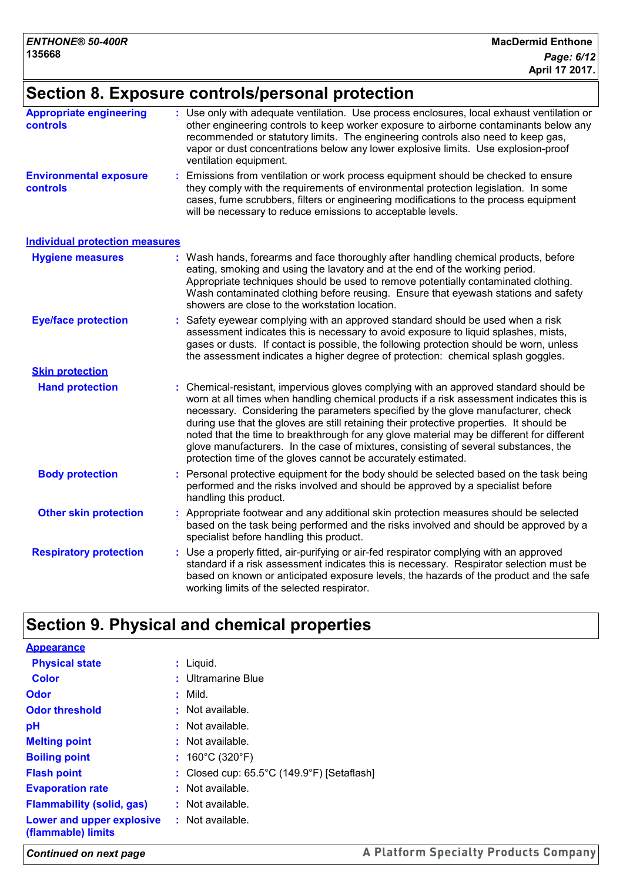## **Section 8. Exposure controls/personal protection**

| <b>Appropriate engineering</b><br><b>controls</b> | Use only with adequate ventilation. Use process enclosures, local exhaust ventilation or<br>other engineering controls to keep worker exposure to airborne contaminants below any<br>recommended or statutory limits. The engineering controls also need to keep gas,<br>vapor or dust concentrations below any lower explosive limits. Use explosion-proof<br>ventilation equipment.                                                                                                                                                                                                                                  |
|---------------------------------------------------|------------------------------------------------------------------------------------------------------------------------------------------------------------------------------------------------------------------------------------------------------------------------------------------------------------------------------------------------------------------------------------------------------------------------------------------------------------------------------------------------------------------------------------------------------------------------------------------------------------------------|
| <b>Environmental exposure</b><br>controls         | Emissions from ventilation or work process equipment should be checked to ensure<br>they comply with the requirements of environmental protection legislation. In some<br>cases, fume scrubbers, filters or engineering modifications to the process equipment<br>will be necessary to reduce emissions to acceptable levels.                                                                                                                                                                                                                                                                                          |
| <b>Individual protection measures</b>             |                                                                                                                                                                                                                                                                                                                                                                                                                                                                                                                                                                                                                        |
| <b>Hygiene measures</b>                           | Wash hands, forearms and face thoroughly after handling chemical products, before<br>eating, smoking and using the lavatory and at the end of the working period.<br>Appropriate techniques should be used to remove potentially contaminated clothing.<br>Wash contaminated clothing before reusing. Ensure that eyewash stations and safety<br>showers are close to the workstation location.                                                                                                                                                                                                                        |
| <b>Eye/face protection</b>                        | Safety eyewear complying with an approved standard should be used when a risk<br>assessment indicates this is necessary to avoid exposure to liquid splashes, mists,<br>gases or dusts. If contact is possible, the following protection should be worn, unless<br>the assessment indicates a higher degree of protection: chemical splash goggles.                                                                                                                                                                                                                                                                    |
| <b>Skin protection</b>                            |                                                                                                                                                                                                                                                                                                                                                                                                                                                                                                                                                                                                                        |
| <b>Hand protection</b>                            | : Chemical-resistant, impervious gloves complying with an approved standard should be<br>worn at all times when handling chemical products if a risk assessment indicates this is<br>necessary. Considering the parameters specified by the glove manufacturer, check<br>during use that the gloves are still retaining their protective properties. It should be<br>noted that the time to breakthrough for any glove material may be different for different<br>glove manufacturers. In the case of mixtures, consisting of several substances, the<br>protection time of the gloves cannot be accurately estimated. |
| <b>Body protection</b>                            | : Personal protective equipment for the body should be selected based on the task being<br>performed and the risks involved and should be approved by a specialist before<br>handling this product.                                                                                                                                                                                                                                                                                                                                                                                                                    |
| <b>Other skin protection</b>                      | : Appropriate footwear and any additional skin protection measures should be selected<br>based on the task being performed and the risks involved and should be approved by a<br>specialist before handling this product.                                                                                                                                                                                                                                                                                                                                                                                              |
| <b>Respiratory protection</b>                     | : Use a properly fitted, air-purifying or air-fed respirator complying with an approved<br>standard if a risk assessment indicates this is necessary. Respirator selection must be<br>based on known or anticipated exposure levels, the hazards of the product and the safe<br>working limits of the selected respirator.                                                                                                                                                                                                                                                                                             |

## **Section 9. Physical and chemical properties**

| <b>Appearance</b>                               |                                            |
|-------------------------------------------------|--------------------------------------------|
| <b>Physical state</b>                           | $:$ Liquid.                                |
| <b>Color</b>                                    | : Ultramarine Blue                         |
| Odor                                            | $:$ Mild.                                  |
| <b>Odor threshold</b>                           | $:$ Not available.                         |
| pH                                              | : Not available.                           |
| <b>Melting point</b>                            | $:$ Not available.                         |
| <b>Boiling point</b>                            | : $160^{\circ}$ C (320 $^{\circ}$ F)       |
| <b>Flash point</b>                              | : Closed cup: 65.5°C (149.9°F) [Setaflash] |
| <b>Evaporation rate</b>                         | : Not available.                           |
| <b>Flammability (solid, gas)</b>                | $:$ Not available.                         |
| Lower and upper explosive<br>(flammable) limits | $:$ Not available.                         |

*Continued on next page*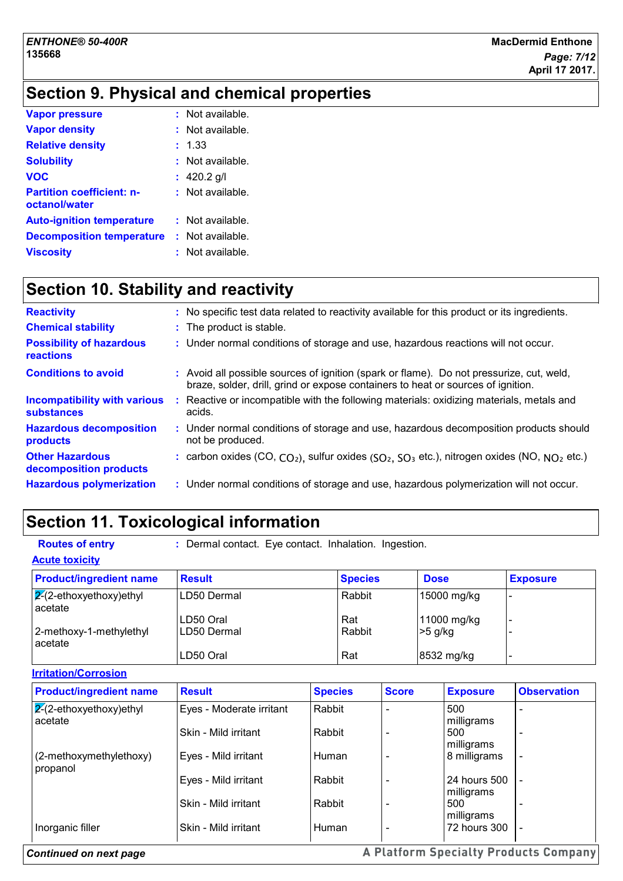## **Section 9. Physical and chemical properties**

| <b>Vapor pressure</b>                             | : Not available.   |
|---------------------------------------------------|--------------------|
| <b>Vapor density</b>                              | : Not available.   |
| <b>Relative density</b>                           | : 1.33             |
| <b>Solubility</b>                                 | : Not available.   |
| <b>VOC</b>                                        | : $420.2$ g/l      |
| <b>Partition coefficient: n-</b><br>octanol/water | : Not available.   |
| <b>Auto-ignition temperature</b>                  | $:$ Not available. |
| <b>Decomposition temperature</b>                  | : Not available.   |
| <b>Viscosity</b>                                  | Not available.     |

## **Section 10. Stability and reactivity**

| <b>Reactivity</b>                                        | : No specific test data related to reactivity available for this product or its ingredients.                                                                                 |
|----------------------------------------------------------|------------------------------------------------------------------------------------------------------------------------------------------------------------------------------|
| <b>Chemical stability</b>                                | : The product is stable.                                                                                                                                                     |
| <b>Possibility of hazardous</b><br><b>reactions</b>      | : Under normal conditions of storage and use, hazardous reactions will not occur.                                                                                            |
| <b>Conditions to avoid</b>                               | : Avoid all possible sources of ignition (spark or flame). Do not pressurize, cut, weld,<br>braze, solder, drill, grind or expose containers to heat or sources of ignition. |
| <b>Incompatibility with various</b><br><b>substances</b> | : Reactive or incompatible with the following materials: oxidizing materials, metals and<br>acids.                                                                           |
| <b>Hazardous decomposition</b><br>products               | : Under normal conditions of storage and use, hazardous decomposition products should<br>not be produced.                                                                    |
| <b>Other Hazardous</b><br>decomposition products         | : carbon oxides (CO, $CO_2$ ), sulfur oxides ( $SO_2$ , $SO_3$ etc.), nitrogen oxides (NO, $NO_2$ etc.)                                                                      |
| <b>Hazardous polymerization</b>                          | : Under normal conditions of storage and use, hazardous polymerization will not occur.                                                                                       |

## **Section 11. Toxicological information**

| <b>Routes of entry</b>                | : Dermal contact. Eye contact. Inhalation. Ingestion. |                |                |              |             |                            |                    |
|---------------------------------------|-------------------------------------------------------|----------------|----------------|--------------|-------------|----------------------------|--------------------|
| <b>Acute toxicity</b>                 |                                                       |                |                |              |             |                            |                    |
| <b>Product/ingredient name</b>        | <b>Result</b>                                         |                | <b>Species</b> |              | <b>Dose</b> |                            | <b>Exposure</b>    |
| $2-(2-ethoxyethoxy)$ ethyl<br>acetate | LD50 Dermal                                           |                | Rabbit         |              |             | 15000 mg/kg                |                    |
| 2-methoxy-1-methylethyl<br>acetate    | LD50 Oral<br>LD50 Dermal                              |                | Rat<br>Rabbit  |              | $>5$ g/kg   | 11000 mg/kg                |                    |
|                                       | LD50 Oral                                             |                | Rat            |              |             | 8532 mg/kg                 |                    |
| <b>Irritation/Corrosion</b>           |                                                       |                |                |              |             |                            |                    |
| <b>Product/ingredient name</b>        | <b>Result</b>                                         | <b>Species</b> |                | <b>Score</b> |             | <b>Exposure</b>            | <b>Observation</b> |
| $2-(2-ethoxyethoxy)ethyl$<br>acetate  | Eyes - Moderate irritant                              | Rabbit         |                |              |             | 500<br>milligrams          |                    |
|                                       | Skin - Mild irritant                                  | Rabbit         |                |              |             | 500<br>milligrams          |                    |
| (2-methoxymethylethoxy)<br>propanol   | Eyes - Mild irritant                                  | Human          |                |              |             | 8 milligrams               |                    |
|                                       | Eyes - Mild irritant                                  | Rabbit         |                |              |             | 24 hours 500<br>milligrams |                    |
|                                       | Skin - Mild irritant                                  | Rabbit         |                |              |             | 500<br>milligrams          |                    |
| Inorganic filler                      | Skin - Mild irritant                                  | <b>Human</b>   |                |              |             | 72 hours 300               |                    |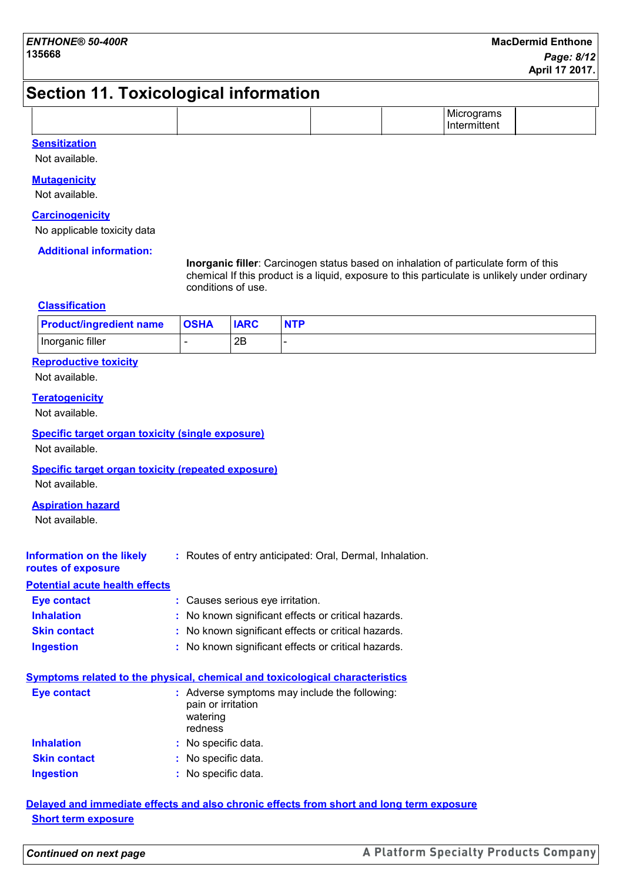## **Section 11. Toxicological information**

|  | . .<br>.<br><b>IVII</b><br>טוו<br>.<br>եու |
|--|--------------------------------------------|
|--|--------------------------------------------|

#### **Sensitization**

Not available.

#### **Mutagenicity**

Not available.

#### **Carcinogenicity**

No applicable toxicity data

#### **Additional information:**

**Inorganic filler**: Carcinogen status based on inhalation of particulate form of this chemical If this product is a liquid, exposure to this particulate is unlikely under ordinary conditions of use.

#### **Classification**

| <b>Product/ingredient name</b> | <b>OSHA</b> | <b>IARC</b> | <b>NTP</b> |
|--------------------------------|-------------|-------------|------------|
| Inorganic filler               |             | 2B          |            |

### **Reproductive toxicity**

Not available.

#### **Teratogenicity**

Not available.

#### **Specific target organ toxicity (single exposure)**

Not available.

#### **Specific target organ toxicity (repeated exposure)**

Not available.

#### **Aspiration hazard**

Not available.

| Information on the likely | : Routes of entry anticipated: Oral, Dermal, Inhalation. |
|---------------------------|----------------------------------------------------------|
| routes of exposure        |                                                          |

#### **Potential acute health effects**

| <b>Eye contact</b>  | : Causes serious eye irritation.                    |
|---------------------|-----------------------------------------------------|
| <b>Inhalation</b>   | : No known significant effects or critical hazards. |
| <b>Skin contact</b> | : No known significant effects or critical hazards. |
| <b>Ingestion</b>    | : No known significant effects or critical hazards. |

|             | Symptoms related to the physical, chemical and toxicological characteristics               |
|-------------|--------------------------------------------------------------------------------------------|
| Eye contact | : Adverse symptoms may include the following:<br>pain or irritation<br>watering<br>redness |

| <b>Inhalation</b>   | : No specific data. |
|---------------------|---------------------|
| <b>Skin contact</b> | : No specific data. |
| <b>Ingestion</b>    | : No specific data. |

#### **Delayed and immediate effects and also chronic effects from short and long term exposure Short term exposure**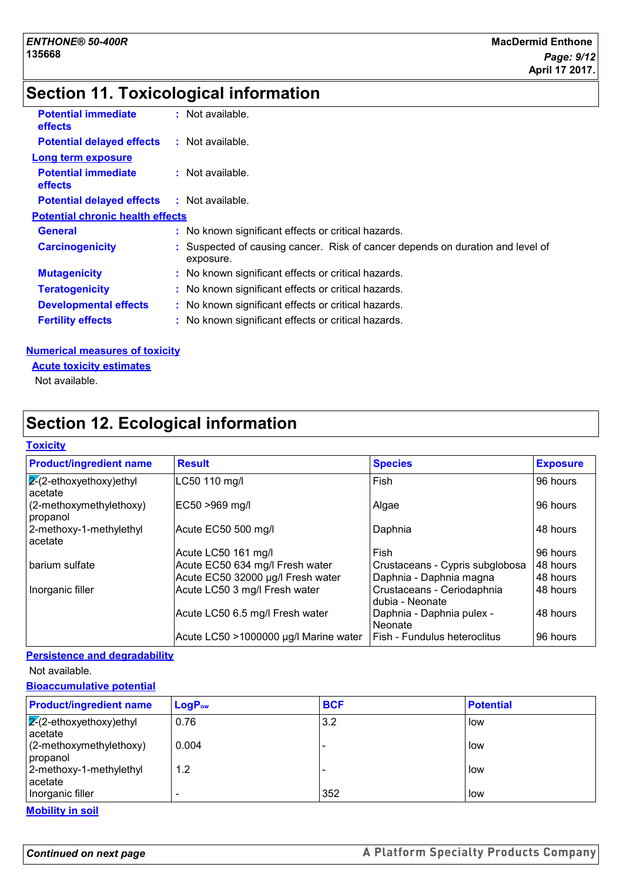## **Section 11. Toxicological information**

| <b>Potential immediate</b><br><b>effects</b> | : Not available.                                                                          |
|----------------------------------------------|-------------------------------------------------------------------------------------------|
| <b>Potential delayed effects</b>             | : Not available.                                                                          |
| <b>Long term exposure</b>                    |                                                                                           |
| <b>Potential immediate</b><br><b>effects</b> | : Not available.                                                                          |
| <b>Potential delayed effects</b>             | $:$ Not available.                                                                        |
| <b>Potential chronic health effects</b>      |                                                                                           |
| General                                      | : No known significant effects or critical hazards.                                       |
| <b>Carcinogenicity</b>                       | Suspected of causing cancer. Risk of cancer depends on duration and level of<br>exposure. |
| <b>Mutagenicity</b>                          | : No known significant effects or critical hazards.                                       |
| <b>Teratogenicity</b>                        | : No known significant effects or critical hazards.                                       |
| <b>Developmental effects</b>                 | : No known significant effects or critical hazards.                                       |
| <b>Fertility effects</b>                     | : No known significant effects or critical hazards.                                       |

#### **Numerical measures of toxicity**

**Acute toxicity estimates**

Not available.

## **Section 12. Ecological information**

#### **Toxicity**

| <b>Product/ingredient name</b>            | <b>Result</b>                         | <b>Species</b>                                | <b>Exposure</b> |
|-------------------------------------------|---------------------------------------|-----------------------------------------------|-----------------|
| $\sqrt{2}$ -ethoxyethoxy)ethyl<br>acetate | LC50 110 mg/l                         | Fish                                          | 96 hours        |
| $(2-methoxymethylethoxy)$<br>propanol     | EC50 >969 mg/l                        | Algae                                         | 96 hours        |
| 2-methoxy-1-methylethyl<br>acetate        | Acute EC50 500 mg/l                   | Daphnia                                       | 48 hours        |
|                                           | Acute LC50 161 mg/l                   | Fish                                          | 96 hours        |
| barium sulfate                            | Acute EC50 634 mg/l Fresh water       | Crustaceans - Cypris subglobosa               | 48 hours        |
|                                           | Acute EC50 32000 µg/l Fresh water     | Daphnia - Daphnia magna                       | 48 hours        |
| Inorganic filler                          | Acute LC50 3 mg/l Fresh water         | Crustaceans - Ceriodaphnia<br>dubia - Neonate | 48 hours        |
|                                           | Acute LC50 6.5 mg/l Fresh water       | Daphnia - Daphnia pulex -<br>Neonate          | 48 hours        |
|                                           | Acute LC50 >1000000 µg/l Marine water | Fish - Fundulus heteroclitus                  | 96 hours        |

#### **Persistence and degradability**

Not available.

#### **Bioaccumulative potential**

| <b>Product/ingredient name</b>               | $LogP_{ow}$ | <b>BCF</b> | <b>Potential</b> |
|----------------------------------------------|-------------|------------|------------------|
| $\sqrt{2}$ (2-ethoxyethoxy) ethyl<br>acetate | 0.76        | 3.2        | low              |
| $(2$ -methoxymethylethoxy)<br>propanol       | 0.004       |            | low              |
| 2-methoxy-1-methylethyl<br>acetate           | 1.2         |            | low              |
| Inorganic filler                             |             | 352        | low              |

**Mobility in soil**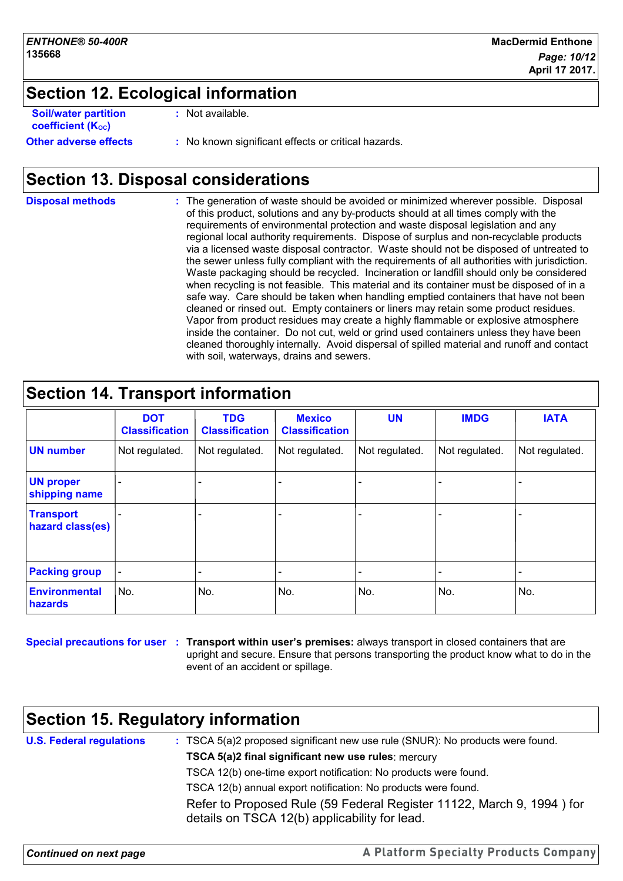## **Section 12. Ecological information**

| <b>Soil/water partition</b><br>coefficient (K <sub>oc</sub> ) | : Not available.                                    |
|---------------------------------------------------------------|-----------------------------------------------------|
| <b>Other adverse effects</b>                                  | : No known significant effects or critical hazards. |

## **Section 13. Disposal considerations**

**Disposal methods :**

The generation of waste should be avoided or minimized wherever possible. Disposal of this product, solutions and any by-products should at all times comply with the requirements of environmental protection and waste disposal legislation and any regional local authority requirements. Dispose of surplus and non-recyclable products via a licensed waste disposal contractor. Waste should not be disposed of untreated to the sewer unless fully compliant with the requirements of all authorities with jurisdiction. Waste packaging should be recycled. Incineration or landfill should only be considered when recycling is not feasible. This material and its container must be disposed of in a safe way. Care should be taken when handling emptied containers that have not been cleaned or rinsed out. Empty containers or liners may retain some product residues. Vapor from product residues may create a highly flammable or explosive atmosphere inside the container. Do not cut, weld or grind used containers unless they have been cleaned thoroughly internally. Avoid dispersal of spilled material and runoff and contact with soil, waterways, drains and sewers.

| <b>Section 14. Transport information</b> |                                     |                                     |                                        |                |                |                |
|------------------------------------------|-------------------------------------|-------------------------------------|----------------------------------------|----------------|----------------|----------------|
|                                          | <b>DOT</b><br><b>Classification</b> | <b>TDG</b><br><b>Classification</b> | <b>Mexico</b><br><b>Classification</b> | <b>UN</b>      | <b>IMDG</b>    | <b>IATA</b>    |
| <b>UN number</b>                         | Not regulated.                      | Not regulated.                      | Not regulated.                         | Not regulated. | Not regulated. | Not regulated. |
| <b>UN proper</b><br>shipping name        |                                     |                                     |                                        |                |                |                |
| <b>Transport</b><br>hazard class(es)     |                                     |                                     |                                        |                |                |                |
| <b>Packing group</b>                     |                                     |                                     |                                        |                |                |                |
| <b>Environmental</b><br>hazards          | No.                                 | No.                                 | No.                                    | No.            | No.            | No.            |

**Special precautions for user Transport within user's premises:** always transport in closed containers that are **:** upright and secure. Ensure that persons transporting the product know what to do in the event of an accident or spillage.

## **Section 15. Regulatory information**

| <b>U.S. Federal regulations</b> | : TSCA 5(a)2 proposed significant new use rule (SNUR): No products were found.                                         |
|---------------------------------|------------------------------------------------------------------------------------------------------------------------|
|                                 | TSCA 5(a)2 final significant new use rules: mercury                                                                    |
|                                 | TSCA 12(b) one-time export notification: No products were found.                                                       |
|                                 | TSCA 12(b) annual export notification: No products were found.                                                         |
|                                 | Refer to Proposed Rule (59 Federal Register 11122, March 9, 1994) for<br>details on TSCA 12(b) applicability for lead. |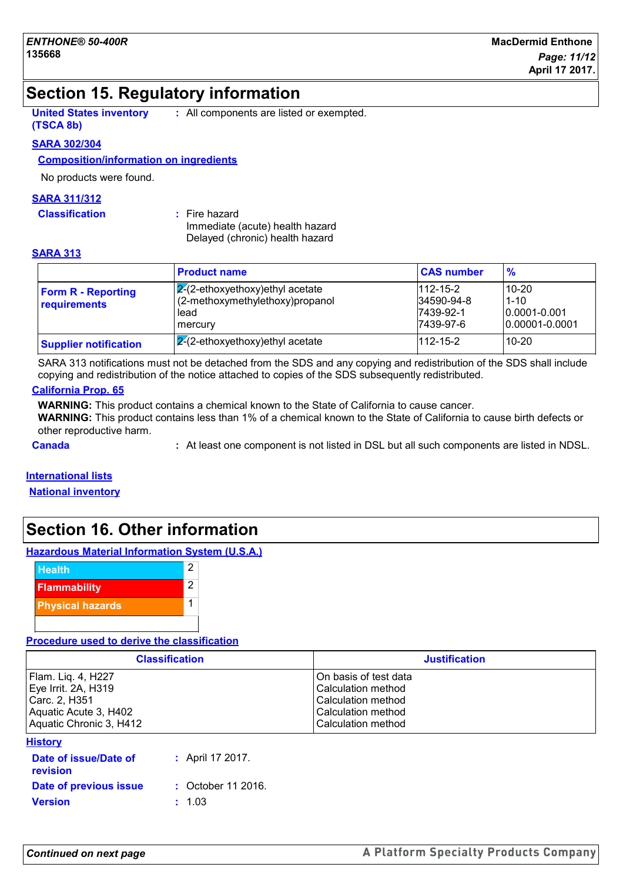## **Section 15. Regulatory information**

**United States inventory (TSCA 8b) :** All components are listed or exempted.

## **SARA 302/304**

#### **Composition/information on ingredients**

No products were found.

#### **SARA 311/312**

**Classification :** Fire hazard

Immediate (acute) health hazard Delayed (chronic) health hazard

#### **SARA 313**

|                                           | <b>Product name</b>                                                   | <b>CAS number</b>             | $\frac{9}{6}$     |
|-------------------------------------------|-----------------------------------------------------------------------|-------------------------------|-------------------|
| <b>Form R - Reporting</b><br>requirements | $ 2(2-ethoxyethoxy)$ ethyl acetate<br>(2-methoxymethylethoxy)propanol | $1112 - 15 - 2$<br>34590-94-8 | 10-20<br>$1 - 10$ |
|                                           | lead                                                                  | 7439-92-1                     | $10.0001 - 0.001$ |
|                                           | mercury                                                               | 7439-97-6                     | 10.00001-0.0001   |
| <b>Supplier notification</b>              | $\sqrt{2}$ (2-ethoxyethoxy) ethyl acetate                             | $1112 - 15 - 2$               | $10 - 20$         |

SARA 313 notifications must not be detached from the SDS and any copying and redistribution of the SDS shall include copying and redistribution of the notice attached to copies of the SDS subsequently redistributed.

#### **California Prop. 65**

**WARNING:** This product contains a chemical known to the State of California to cause cancer.

**WARNING:** This product contains less than 1% of a chemical known to the State of California to cause birth defects or other reproductive harm.

**Canada 19. In the component is not listed in DSL** but all such components are listed in NDSL.

#### **International lists**

**National inventory**

## **Section 16. Other information**

### **Hazardous Material Information System (U.S.A.)**



**Procedure used to derive the classification**

| <b>Classification</b>   | <b>Justification</b>      |
|-------------------------|---------------------------|
| Flam. Lig. 4, H227      | IOn basis of test data    |
| Eye Irrit. 2A, H319     | Calculation method        |
| Carc. 2, H351           | Calculation method        |
| Aquatic Acute 3, H402   | <b>Calculation method</b> |
| Aquatic Chronic 3, H412 | l Calculation method      |

#### **History**

| Date of issue/Date of<br><b>revision</b> | : April 17 2017.              |
|------------------------------------------|-------------------------------|
| Date of previous issue                   | $\therefore$ October 11 2016. |
| <b>Version</b>                           | $\pm 1.03$                    |